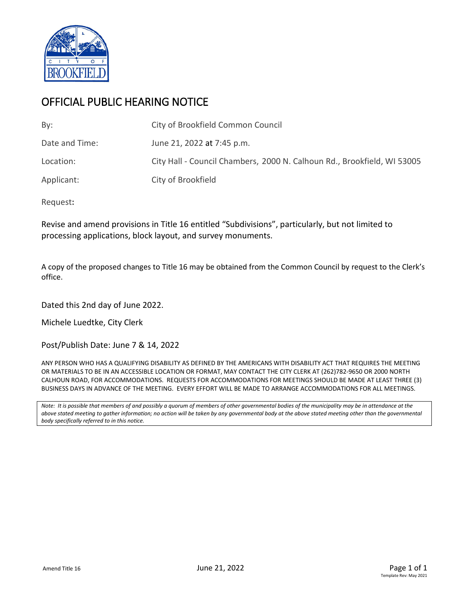

# OFFICIAL PUBLIC HEARING NOTICE

| By:            | City of Brookfield Common Council                                       |
|----------------|-------------------------------------------------------------------------|
| Date and Time: | June 21, 2022 at 7:45 p.m.                                              |
| Location:      | City Hall - Council Chambers, 2000 N. Calhoun Rd., Brookfield, WI 53005 |
| Applicant:     | City of Brookfield                                                      |

Request**:**

Revise and amend provisions in Title 16 entitled "Subdivisions", particularly, but not limited to processing applications, block layout, and survey monuments.

A copy of the proposed changes to Title 16 may be obtained from the Common Council by request to the Clerk's office.

Dated this 2nd day of June 2022.

Michele Luedtke, City Clerk

Post/Publish Date: June 7 & 14, 2022

ANY PERSON WHO HAS A QUALIFYING DISABILITY AS DEFINED BY THE AMERICANS WITH DISABILITY ACT THAT REQUIRES THE MEETING OR MATERIALS TO BE IN AN ACCESSIBLE LOCATION OR FORMAT, MAY CONTACT THE CITY CLERK AT (262)782-9650 OR 2000 NORTH CALHOUN ROAD, FOR ACCOMMODATIONS. REQUESTS FOR ACCOMMODATIONS FOR MEETINGS SHOULD BE MADE AT LEAST THREE (3) BUSINESS DAYS IN ADVANCE OF THE MEETING. EVERY EFFORT WILL BE MADE TO ARRANGE ACCOMMODATIONS FOR ALL MEETINGS.

*Note: It is possible that members of and possibly a quorum of members of other governmental bodies of the municipality may be in attendance at the above stated meeting to gather information; no action will be taken by any governmental body at the above stated meeting other than the governmental body specifically referred to in this notice.*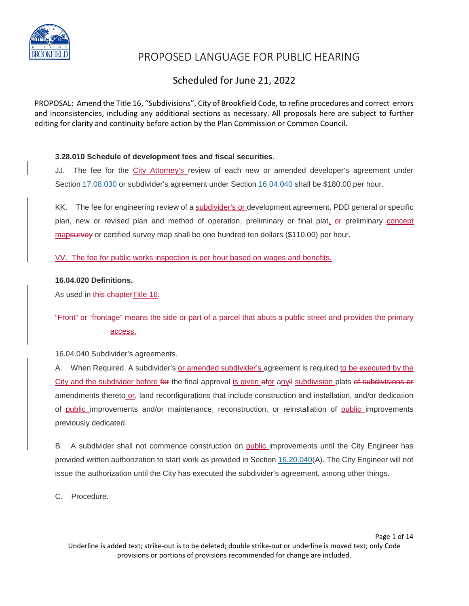

## Scheduled for June 21, 2022

PROPOSAL: Amend the Title 16, "Subdivisions", City of Brookfield Code, to refine procedures and correct errors and inconsistencies, including any additional sections as necessary. All proposals here are subject to further editing for clarity and continuity before action by the Plan Commission or Common Council.

#### **3.28.010 Schedule of development fees and fiscal securities**.

JJ. The fee for the City Attorney's review of each new or amended developer's agreement under Section [17.08.030](https://www.codepublishing.com/WI/Brookfield/#!/Brookfield17/Brookfield1708.html#17.08.030) or subdivider's agreement under Section [16.04.040](https://www.codepublishing.com/WI/Brookfield/#!/Brookfield16/Brookfield1604.html#16.04.040) shall be \$180.00 per hour.

KK. The fee for engineering review of a subdivider's or development agreement, PDD general or specific plan, new or revised plan and method of operation, preliminary or final plat, or preliminary concept mapsurvey or certified survey map shall be one hundred ten dollars (\$110.00) per hour.

VV. The fee for public works inspection is per hour based on wages and benefits.

#### **16.04.020 Definitions.**

As used in this chapterTitle 16:

### "Front" or "frontage" means the side or part of a parcel that abuts a public street and provides the primary access.

16.04.040 Subdivider's agreements.

A. When Required. A subdivider's or amended subdivider's agreement is required to be executed by the City and the subdivider before for the final approval is given ofor anyll subdivision plats of subdivisions or amendments thereto or<sub>r</sub> land reconfigurations that include construction and installation, and/or dedication of public improvements and/or maintenance, reconstruction, or reinstallation of public improvements previously dedicated.

B. A subdivider shall not commence construction on public improvements until the City Engineer has provided written authorization to start work as provided in Section [16.20.040\(](https://www.codepublishing.com/WI/Brookfield/#!/Brookfield16/Brookfield1620.html#16.20.040)A). The City Engineer will not issue the authorization until the City has executed the subdivider's agreement, among other things.

C. Procedure.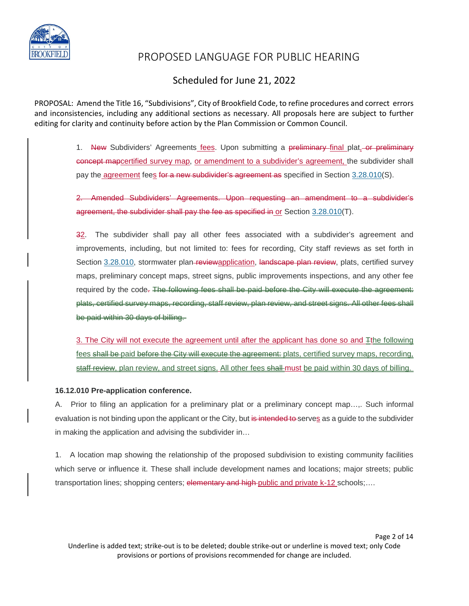

### Scheduled for June 21, 2022

PROPOSAL: Amend the Title 16, "Subdivisions", City of Brookfield Code, to refine procedures and correct errors and inconsistencies, including any additional sections as necessary. All proposals here are subject to further editing for clarity and continuity before action by the Plan Commission or Common Council.

> 1. New Subdividers' Agreements fees. Upon submitting a preliminary final plat, or preliminary concept mapcertified survey map, or amendment to a subdivider's agreement, the subdivider shall pay the *agreement* fees for a new subdivider's agreement as specified in Section [3.28.010\(](https://www.codepublishing.com/WI/Brookfield/#!/Brookfield03/Brookfield0328.html#3.28.010)S).

> 2. Amended Subdividers' Agreements. Upon requesting an amendment to a subdivider's agreement, the subdivider shall pay the fee as specified in or Section [3.28.010\(](https://www.codepublishing.com/WI/Brookfield/#!/Brookfield03/Brookfield0328.html#3.28.010)T).

> 32. The subdivider shall pay all other fees associated with a subdivider's agreement and improvements, including, but not limited to: fees for recording, City staff reviews as set forth in Section [3.28.010,](https://www.codepublishing.com/WI/Brookfield/#!/Brookfield03/Brookfield0328.html#3.28.010) stormwater plan-reviewapplication, landscape plan review, plats, certified survey maps, preliminary concept maps, street signs, public improvements inspections, and any other fee required by the code. The following foos shall be paid before the City will execute the agreement: plats, certified survey maps, recording, staff review, plan review, and street signs. All other fees shall be paid within 30 days of billing.

> 3. The City will not execute the agreement until after the applicant has done so and  $\pm$ the following fees shall be paid before the City will execute the agreement: plats, certified survey maps, recording, staff review, plan review, and street signs. All other fees shall must be paid within 30 days of billing.

#### **16.12.010 Pre-application conference.**

A. Prior to filing an application for a preliminary plat or a preliminary concept map…,. Such informal evaluation is not binding upon the applicant or the City, but is intended to serves as a guide to the subdivider in making the application and advising the subdivider in…

1. A location map showing the relationship of the proposed subdivision to existing community facilities which serve or influence it. These shall include development names and locations; major streets; public transportation lines; shopping centers; elementary and high-public and private k-12 schools;....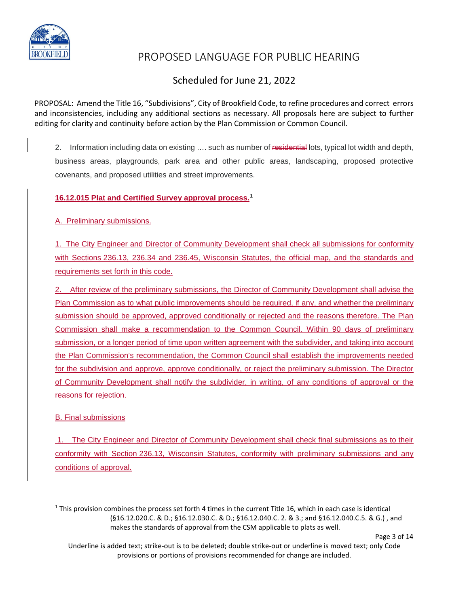

## Scheduled for June 21, 2022

PROPOSAL: Amend the Title 16, "Subdivisions", City of Brookfield Code, to refine procedures and correct errors and inconsistencies, including any additional sections as necessary. All proposals here are subject to further editing for clarity and continuity before action by the Plan Commission or Common Council.

2. Information including data on existing .... such as number of residential lots, typical lot width and depth, business areas, playgrounds, park area and other public areas, landscaping, proposed protective covenants, and proposed utilities and street improvements.

### **16.12.015 Plat and Certified Survey approval process. [1](#page-3-0)**

A. Preliminary submissions.

1. The City Engineer and Director of Community Development shall check all submissions for conformity with Sections [236.13,](https://docs.legis.wisconsin.gov/document/statutes/236.13) 236.34 and 236.45, Wisconsin Statutes, the official map, and the standards and requirements set forth in this code.

2. After review of the preliminary submissions, the Director of Community Development shall advise the Plan Commission as to what public improvements should be required, if any, and whether the preliminary submission should be approved, approved conditionally or rejected and the reasons therefore. The Plan Commission shall make a recommendation to the Common Council. Within 90 days of preliminary submission, or a longer period of time upon written agreement with the subdivider, and taking into account the Plan Commission's recommendation, the Common Council shall establish the improvements needed for the subdivision and approve, approve conditionally, or reject the preliminary submission. The Director of Community Development shall notify the subdivider, in writing, of any conditions of approval or the reasons for rejection.

B. Final submissions

1. The City Engineer and Director of Community Development shall check final submissions as to their conformity with Section [236.13,](https://docs.legis.wisconsin.gov/document/statutes/236.13) Wisconsin Statutes, conformity with preliminary submissions and any conditions of approval.

Page 3 of 14

<span id="page-3-0"></span> $1$  This provision combines the process set forth 4 times in the current Title 16, which in each case is identical (§16.12.020.C. & D.; §16.12.030.C. & D.; §16.12.040.C. 2. & 3.; and §16.12.040.C.5. & G.) , and makes the standards of approval from the CSM applicable to plats as well.

Underline is added text; strike-out is to be deleted; double strike-out or underline is moved text; only Code provisions or portions of provisions recommended for change are included.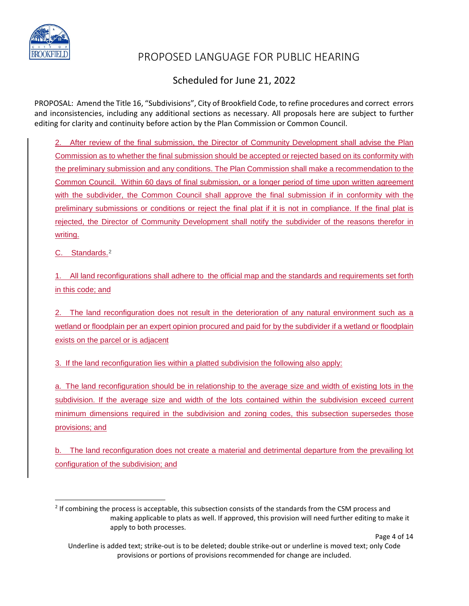

## Scheduled for June 21, 2022

PROPOSAL: Amend the Title 16, "Subdivisions", City of Brookfield Code, to refine procedures and correct errors and inconsistencies, including any additional sections as necessary. All proposals here are subject to further editing for clarity and continuity before action by the Plan Commission or Common Council.

2. After review of the final submission, the Director of Community Development shall advise the Plan Commission as to whether the final submission should be accepted or rejected based on its conformity with the preliminary submission and any conditions. The Plan Commission shall make a recommendation to the Common Council. Within 60 days of final submission, or a longer period of time upon written agreement with the subdivider, the Common Council shall approve the final submission if in conformity with the preliminary submissions or conditions or reject the final plat if it is not in compliance. If the final plat is rejected, the Director of Community Development shall notify the subdivider of the reasons therefor in writing.

C. Standards.[2](#page-4-0)

1. All land reconfigurations shall adhere to the official map and the standards and requirements set forth in this code; and

2. The land reconfiguration does not result in the deterioration of any natural environment such as a wetland or floodplain per an expert opinion procured and paid for by the subdivider if a wetland or floodplain exists on the parcel or is adjacent

3. If the land reconfiguration lies within a platted subdivision the following also apply:

a. The land reconfiguration should be in relationship to the average size and width of existing lots in the subdivision. If the average size and width of the lots contained within the subdivision exceed current minimum dimensions required in the subdivision and zoning codes, this subsection supersedes those provisions; and

b. The land reconfiguration does not create a material and detrimental departure from the prevailing lot configuration of the subdivision; and

Page 4 of 14

<span id="page-4-0"></span><sup>&</sup>lt;sup>2</sup> If combining the process is acceptable, this subsection consists of the standards from the CSM process and making applicable to plats as well. If approved, this provision will need further editing to make it apply to both processes.

Underline is added text; strike-out is to be deleted; double strike-out or underline is moved text; only Code provisions or portions of provisions recommended for change are included.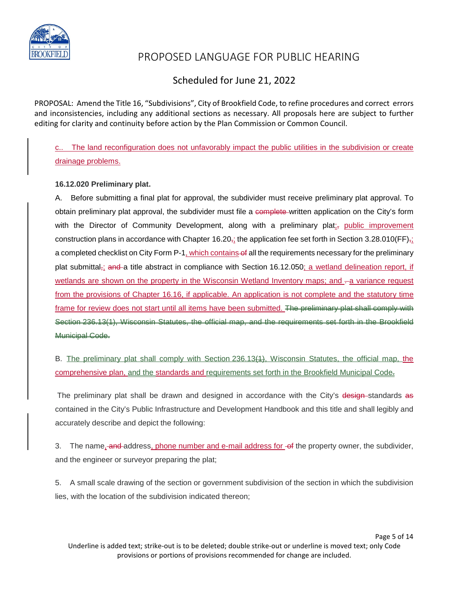

### Scheduled for June 21, 2022

PROPOSAL: Amend the Title 16, "Subdivisions", City of Brookfield Code, to refine procedures and correct errors and inconsistencies, including any additional sections as necessary. All proposals here are subject to further editing for clarity and continuity before action by the Plan Commission or Common Council.

c.. The land reconfiguration does not unfavorably impact the public utilities in the subdivision or create drainage problems.

### **16.12.020 Preliminary plat.**

A. Before submitting a final plat for approval, the subdivider must receive preliminary plat approval. To obtain preliminary plat approval, the subdivider must file a complete written application on the City's form with the Director of Community Development, along with a preliminary plat<sub>i</sub>, public improvement construction plans in accordance with Chapter 16.20 $_{71}$ ; the application fee set forth in Section 3.28.010(FF) $_{71}$ a completed checklist on City Form P-1, which contains of all the requirements necessary for the preliminary plat submittal<sub> $\vec{i}$ </sub> and a title abstract in compliance with Section 16.12.050; a wetland delineation report, if wetlands are shown on the property in the Wisconsin Wetland Inventory maps; and -a variance request from the provisions of Chapter 16.16, if applicable. An application is not complete and the statutory time frame for review does not start until all items have been submitted. The preliminary plat shall comply with Section 236.13(1), Wisconsin Statutes, the official map, and the requirements set forth in the Brookfield Municipal Code.

B. The preliminary plat shall comply with Section 236.13(1), Wisconsin Statutes, the official map, the comprehensive plan, and the standards and requirements set forth in the Brookfield Municipal Code.

The preliminary plat shall be drawn and designed in accordance with the City's design-standards as contained in the City's Public Infrastructure and Development Handbook and this title and shall legibly and accurately describe and depict the following:

3. The name, and address, phone number and e-mail address for of the property owner, the subdivider, and the engineer or surveyor preparing the plat;

5. A small scale drawing of the section or government subdivision of the section in which the subdivision lies, with the location of the subdivision indicated thereon;

Page 5 of 14 Underline is added text; strike-out is to be deleted; double strike-out or underline is moved text; only Code provisions or portions of provisions recommended for change are included.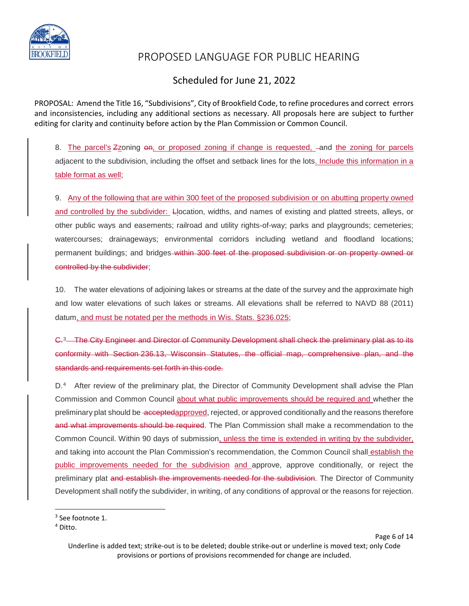

### Scheduled for June 21, 2022

PROPOSAL: Amend the Title 16, "Subdivisions", City of Brookfield Code, to refine procedures and correct errors and inconsistencies, including any additional sections as necessary. All proposals here are subject to further editing for clarity and continuity before action by the Plan Commission or Common Council.

8. The parcel's Zzoning on, or proposed zoning if change is requested, -and the zoning for parcels adjacent to the subdivision, including the offset and setback lines for the lots. Include this information in a table format as well;

9. Any of the following that are within 300 feet of the proposed subdivision or on abutting property owned and controlled by the subdivider: Llocation, widths, and names of existing and platted streets, alleys, or other public ways and easements; railroad and utility rights-of-way; parks and playgrounds; cemeteries; watercourses; drainageways; environmental corridors including wetland and floodland locations; permanent buildings; and bridges within 300 feet of the proposed subdivision or on property owned or controlled by the subdivider;

10. The water elevations of adjoining lakes or streams at the date of the survey and the approximate high and low water elevations of such lakes or streams. All elevations shall be referred to NAVD 88 (2011) datum, and must be notated per the methods in Wis. Stats. §236.025;

C.[3](#page-6-0) The City Engineer and Director of Community Development shall check the preliminary plat as to its conformity with Section 236.13, Wisconsin Statutes, the official map, comprehensive plan, and the standards and requirements set forth in this code.

D.<sup>[4](#page-6-1)</sup> After review of the preliminary plat, the Director of Community Development shall advise the Plan Commission and Common Council about what public improvements should be required and whether the preliminary plat should be acceptedapproved, rejected, or approved conditionally and the reasons therefore and what improvements should be required. The Plan Commission shall make a recommendation to the Common Council. Within 90 days of submission, unless the time is extended in writing by the subdivider, and taking into account the Plan Commission's recommendation, the Common Council shall establish the public improvements needed for the subdivision and approve, approve conditionally, or reject the preliminary plat and establish the improvements needed for the subdivision. The Director of Community Development shall notify the subdivider, in writing, of any conditions of approval or the reasons for rejection.

Page 6 of 14

<span id="page-6-0"></span><sup>&</sup>lt;sup>3</sup> See footnote 1.

<span id="page-6-1"></span><sup>4</sup> Ditto.

Underline is added text; strike-out is to be deleted; double strike-out or underline is moved text; only Code provisions or portions of provisions recommended for change are included.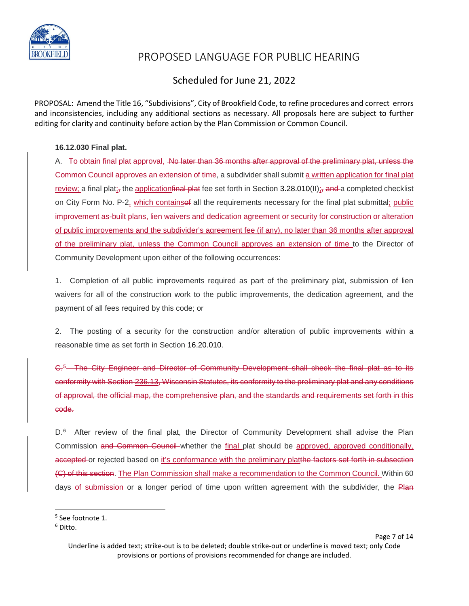

### Scheduled for June 21, 2022

PROPOSAL: Amend the Title 16, "Subdivisions", City of Brookfield Code, to refine procedures and correct errors and inconsistencies, including any additional sections as necessary. All proposals here are subject to further editing for clarity and continuity before action by the Plan Commission or Common Council.

### **16.12.030 Final plat.**

A. To obtain final plat approval, Ao later than 36 months after approval of the preliminary plat, unless the Common Council approves an extension of time, a subdivider shall submit a written application for final plat review; a final plat<sub>i</sub>, the application final plat fee set forth in Section 3.28.010(II); and a completed checklist on City Form No. P-2, which containsef all the requirements necessary for the final plat submittal; public improvement as-built plans, lien waivers and dedication agreement or security for construction or alteration of public improvements and the subdivider's agreement fee (if any), no later than 36 months after approval of the preliminary plat, unless the Common Council approves an extension of time to the Director of Community Development upon either of the following occurrences:

1. Completion of all public improvements required as part of the preliminary plat, submission of lien waivers for all of the construction work to the public improvements, the dedication agreement, and the payment of all fees required by this code; or

2. The posting of a security for the construction and/or alteration of public improvements within a reasonable time as set forth in Section 16.20.010.

C.[5](#page-7-0) The City Engineer and Director of Community Development shall check the final plat as to its conformity with Section 236.13, Wisconsin Statutes, its conformity to the preliminary plat and any conditions of approval, the official map, the comprehensive plan, and the standards and requirements set forth in this code.

D.<sup>[6](#page-7-1)</sup> After review of the final plat, the Director of Community Development shall advise the Plan Commission and Common Council whether the final plat should be approved, approved conditionally, accepted or rejected based on it's conformance with the preliminary platthe factors set forth in subsection (C) of this section. The Plan Commission shall make a recommendation to the Common Council. Within 60 days of submission or a longer period of time upon written agreement with the subdivider, the Plan

<span id="page-7-0"></span><sup>&</sup>lt;sup>5</sup> See footnote 1.

<span id="page-7-1"></span><sup>6</sup> Ditto.

Underline is added text; strike-out is to be deleted; double strike-out or underline is moved text; only Code provisions or portions of provisions recommended for change are included.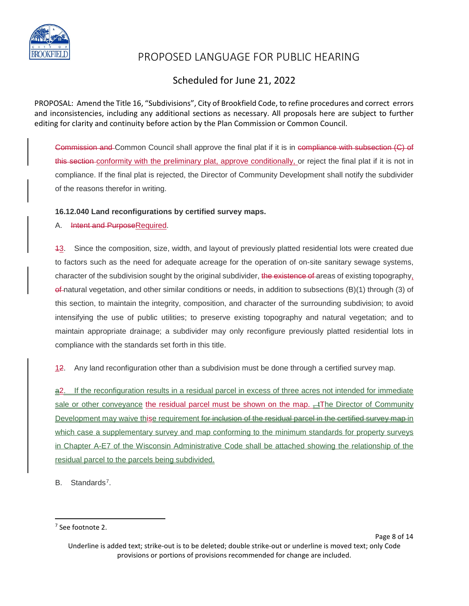

## Scheduled for June 21, 2022

PROPOSAL: Amend the Title 16, "Subdivisions", City of Brookfield Code, to refine procedures and correct errors and inconsistencies, including any additional sections as necessary. All proposals here are subject to further editing for clarity and continuity before action by the Plan Commission or Common Council.

Commission and Common Council shall approve the final plat if it is in compliance with subsection (C) of this section conformity with the preliminary plat, approve conditionally, or reject the final plat if it is not in compliance. If the final plat is rejected, the Director of Community Development shall notify the subdivider of the reasons therefor in writing.

### **16.12.040 Land reconfigurations by certified survey maps.**

### A. Intent and PurposeRequired.

13. Since the composition, size, width, and layout of previously platted residential lots were created due to factors such as the need for adequate acreage for the operation of on-site sanitary sewage systems, character of the subdivision sought by the original subdivider, the existence of areas of existing topography, of natural vegetation, and other similar conditions or needs, in addition to subsections (B)(1) through (3) of this section, to maintain the integrity, composition, and character of the surrounding subdivision; to avoid intensifying the use of public utilities; to preserve existing topography and natural vegetation; and to maintain appropriate drainage; a subdivider may only reconfigure previously platted residential lots in compliance with the standards set forth in this title.

12. Any land reconfiguration other than a subdivision must be done through a certified survey map.

a2. If the reconfiguration results in a residual parcel in excess of three acres not intended for immediate sale or other conveyance the residual parcel must be shown on the map.  $\pm$ The Director of Community Development may waive thise requirement for inclusion of the residual parcel in the certified survey map in which case a supplementary survey and map conforming to the minimum standards for property surveys in Chapter A-E7 of the Wisconsin Administrative Code shall be attached showing the relationship of the residual parcel to the parcels being subdivided.

B. Standards<sup>[7](#page-8-0)</sup>.

<span id="page-8-0"></span><sup>&</sup>lt;sup>7</sup> See footnote 2.

Underline is added text; strike-out is to be deleted; double strike-out or underline is moved text; only Code provisions or portions of provisions recommended for change are included.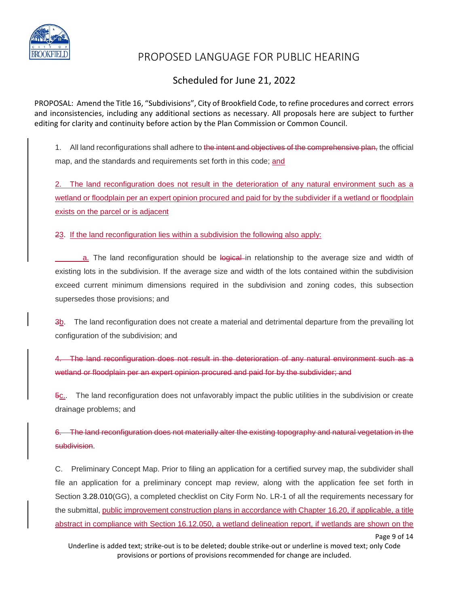

## Scheduled for June 21, 2022

PROPOSAL: Amend the Title 16, "Subdivisions", City of Brookfield Code, to refine procedures and correct errors and inconsistencies, including any additional sections as necessary. All proposals here are subject to further editing for clarity and continuity before action by the Plan Commission or Common Council.

1. All land reconfigurations shall adhere to the intent and objectives of the comprehensive plan, the official map, and the standards and requirements set forth in this code; and

The land reconfiguration does not result in the deterioration of any natural environment such as a wetland or floodplain per an expert opinion procured and paid for by the subdivider if a wetland or floodplain exists on the parcel or is adjacent

23. If the land reconfiguration lies within a subdivision the following also apply:

a. The land reconfiguration should be logical in relationship to the average size and width of existing lots in the subdivision. If the average size and width of the lots contained within the subdivision exceed current minimum dimensions required in the subdivision and zoning codes, this subsection supersedes those provisions; and

3b. The land reconfiguration does not create a material and detrimental departure from the prevailing lot configuration of the subdivision; and

4. The land reconfiguration does not result in the deterioration of any natural environment such as a wetland or floodplain per an expert opinion procured and paid for by the subdivider; and

 $\overline{6c}$ . The land reconfiguration does not unfavorably impact the public utilities in the subdivision or create drainage problems; and

6. The land reconfiguration does not materially alter the existing topography and natural vegetation in the subdivision.

C. Preliminary Concept Map. Prior to filing an application for a certified survey map, the subdivider shall file an application for a preliminary concept map review, along with the application fee set forth in Section 3.28.010(GG), a completed checklist on City Form No. LR-1 of all the requirements necessary for the submittal, public improvement construction plans in accordance with Chapter 16.20, if applicable, a title abstract in compliance with Section 16.12.050, a wetland delineation report, if wetlands are shown on the

Page 9 of 14

Underline is added text; strike-out is to be deleted; double strike-out or underline is moved text; only Code provisions or portions of provisions recommended for change are included.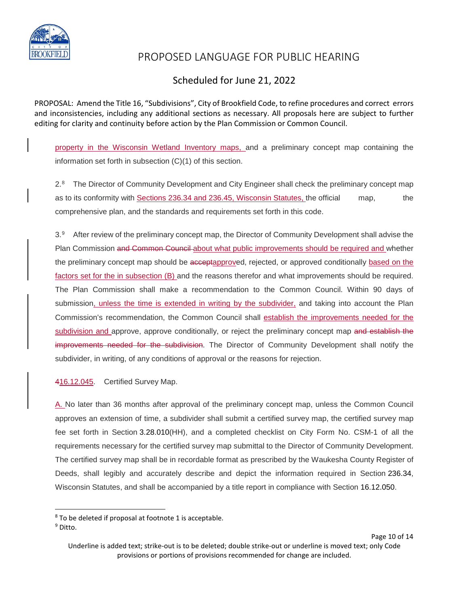

### Scheduled for June 21, 2022

PROPOSAL: Amend the Title 16, "Subdivisions", City of Brookfield Code, to refine procedures and correct errors and inconsistencies, including any additional sections as necessary. All proposals here are subject to further editing for clarity and continuity before action by the Plan Commission or Common Council.

property in the Wisconsin Wetland Inventory maps, and a preliminary concept map containing the information set forth in subsection (C)(1) of this section.

2.[8](#page-10-0) The Director of Community Development and City Engineer shall check the preliminary concept map as to its conformity with **Sections 236.34 and 236.45, Wisconsin Statutes**, the official map, the comprehensive plan, and the standards and requirements set forth in this code.

3.[9](#page-10-1) After review of the preliminary concept map, the Director of Community Development shall advise the Plan Commission and Common Council about what public improvements should be required and whether the preliminary concept map should be acceptapproved, rejected, or approved conditionally based on the factors set for the in subsection (B) and the reasons therefor and what improvements should be required. The Plan Commission shall make a recommendation to the Common Council. Within 90 days of submission, unless the time is extended in writing by the subdivider, and taking into account the Plan Commission's recommendation, the Common Council shall establish the improvements needed for the subdivision and approve, approve conditionally, or reject the preliminary concept map and establish the improvements needed for the subdivision. The Director of Community Development shall notify the subdivider, in writing, of any conditions of approval or the reasons for rejection.

#### 416.12.045. Certified Survey Map.

A. No later than 36 months after approval of the preliminary concept map, unless the Common Council approves an extension of time, a subdivider shall submit a certified survey map, the certified survey map fee set forth in Section 3.28.010(HH), and a completed checklist on City Form No. CSM-1 of all the requirements necessary for the certified survey map submittal to the Director of Community Development. The certified survey map shall be in recordable format as prescribed by the Waukesha County Register of Deeds, shall legibly and accurately describe and depict the information required in Section 236.34, Wisconsin Statutes, and shall be accompanied by a title report in compliance with Section 16.12.050.

Page 10 of 14

<span id="page-10-0"></span> $8$  To be deleted if proposal at footnote 1 is acceptable.

<span id="page-10-1"></span><sup>&</sup>lt;sup>9</sup> Ditto.

Underline is added text; strike-out is to be deleted; double strike-out or underline is moved text; only Code provisions or portions of provisions recommended for change are included.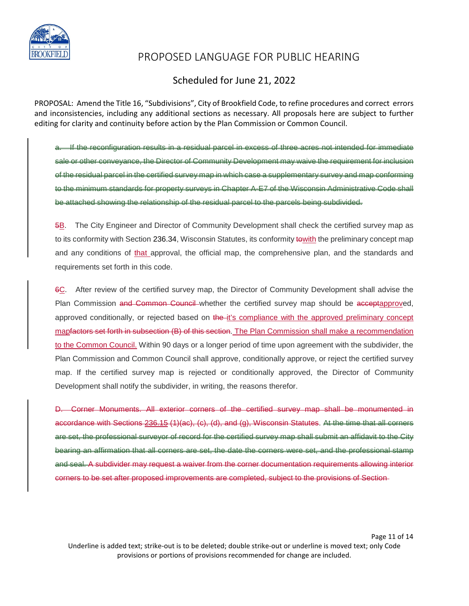

### Scheduled for June 21, 2022

PROPOSAL: Amend the Title 16, "Subdivisions", City of Brookfield Code, to refine procedures and correct errors and inconsistencies, including any additional sections as necessary. All proposals here are subject to further editing for clarity and continuity before action by the Plan Commission or Common Council.

a. If the reconfiguration results in a residual parcel in excess of three acres not intended for immediate sale or other conveyance, the Director of Community Development may waive the requirement for inclusion of the residual parcel in the certified survey map in which case a supplementary survey and map conforming to the minimum standards for property surveys in Chapter A-E7 of the Wisconsin Administrative Code shall be attached showing the relationship of the residual parcel to the parcels being subdivided.

5B. The City Engineer and Director of Community Development shall check the certified survey map as to its conformity with Section 236.34, Wisconsin Statutes, its conformity towith the preliminary concept map and any conditions of that approval, the official map, the comprehensive plan, and the standards and requirements set forth in this code.

6C. After review of the certified survey map, the Director of Community Development shall advise the Plan Commission and Common Council whether the certified survey map should be acceptapproved, approved conditionally, or rejected based on the it's compliance with the approved preliminary concept mapfactors set forth in subsection (B) of this section. The Plan Commission shall make a recommendation to the Common Council. Within 90 days or a longer period of time upon agreement with the subdivider, the Plan Commission and Common Council shall approve, conditionally approve, or reject the certified survey map. If the certified survey map is rejected or conditionally approved, the Director of Community Development shall notify the subdivider, in writing, the reasons therefor.

D. Corner Monuments. All exterior corners of the certified survey map shall be monumented in accordance with Sections 236.15 (1)(ac), (c), (d), and (g), Wisconsin Statutes. At the time that all corners are set, the professional surveyor of record for the certified survey map shall submit an affidavit to the City bearing an affirmation that all corners are set, the date the corners were set, and the professional stamp and seal. A subdivider may request a waiver from the corner documentation requirements allowing interior corners to be set after proposed improvements are completed, subject to the provisions of Section

Page 11 of 14 Underline is added text; strike-out is to be deleted; double strike-out or underline is moved text; only Code provisions or portions of provisions recommended for change are included.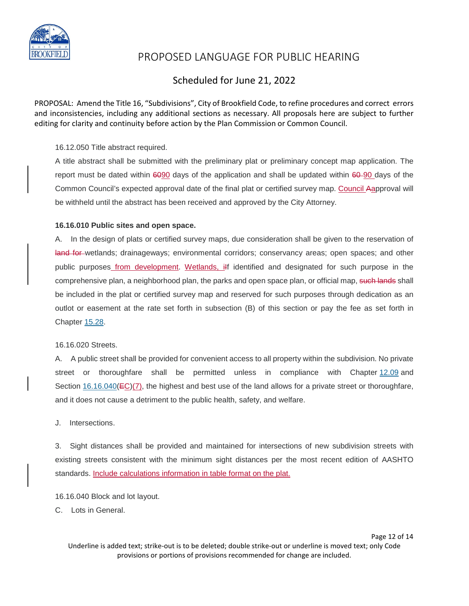

### Scheduled for June 21, 2022

PROPOSAL: Amend the Title 16, "Subdivisions", City of Brookfield Code, to refine procedures and correct errors and inconsistencies, including any additional sections as necessary. All proposals here are subject to further editing for clarity and continuity before action by the Plan Commission or Common Council.

#### 16.12.050 Title abstract required.

A title abstract shall be submitted with the preliminary plat or preliminary concept map application. The report must be dated within  $60\%$  days of the application and shall be updated within  $60\%$  days of the Common Council's expected approval date of the final plat or certified survey map. Council Aapproval will be withheld until the abstract has been received and approved by the City Attorney.

#### **16.16.010 Public sites and open space.**

A. In the design of plats or certified survey maps, due consideration shall be given to the reservation of land for wetlands; drainageways; environmental corridors; conservancy areas; open spaces; and other public purposes from development. Wetlands, ilf identified and designated for such purpose in the comprehensive plan, a neighborhood plan, the parks and open space plan, or official map, such lands shall be included in the plat or certified survey map and reserved for such purposes through dedication as an outlot or easement at the rate set forth in subsection (B) of this section or pay the fee as set forth in Chapter [15.28.](https://www.codepublishing.com/WI/Brookfield/#!/Brookfield15/Brookfield1528.html#15.28)

#### 16.16.020 Streets.

A. A public street shall be provided for convenient access to all property within the subdivision. No private street or thoroughfare shall be permitted unless in compliance with Chapter [12.09](https://www.codepublishing.com/WI/Brookfield/#!/Brookfield12/Brookfield1209.html#12.09) and Section  $16.16.040(\text{EC})(7)$  $16.16.040(\text{EC})(7)$ , the highest and best use of the land allows for a private street or thoroughfare, and it does not cause a detriment to the public health, safety, and welfare.

J. Intersections.

3. Sight distances shall be provided and maintained for intersections of new subdivision streets with existing streets consistent with the minimum sight distances per the most recent edition of AASHTO standards. Include calculations information in table format on the plat.

16.16.040 Block and lot layout.

C. Lots in General.

Page 12 of 14 Underline is added text; strike-out is to be deleted; double strike-out or underline is moved text; only Code provisions or portions of provisions recommended for change are included.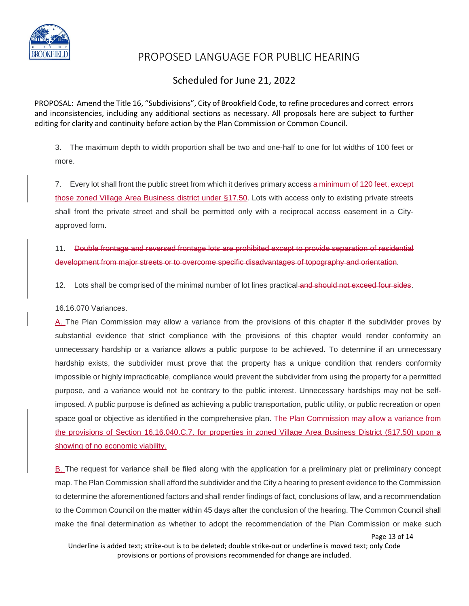

### Scheduled for June 21, 2022

PROPOSAL: Amend the Title 16, "Subdivisions", City of Brookfield Code, to refine procedures and correct errors and inconsistencies, including any additional sections as necessary. All proposals here are subject to further editing for clarity and continuity before action by the Plan Commission or Common Council.

3. The maximum depth to width proportion shall be two and one-half to one for lot widths of 100 feet or more.

7. Every lot shall front the public street from which it derives primary access a minimum of 120 feet, except those zoned Village Area Business district under §17.50. Lots with access only to existing private streets shall front the private street and shall be permitted only with a reciprocal access easement in a Cityapproved form.

11. Double frontage and reversed frontage lots are prohibited except to provide separation of residential development from major streets or to overcome specific disadvantages of topography and orientation.

12. Lots shall be comprised of the minimal number of lot lines practical and should not exceed four sides.

#### 16.16.070 Variances.

A. The Plan Commission may allow a variance from the provisions of this chapter if the subdivider proves by substantial evidence that strict compliance with the provisions of this chapter would render conformity an unnecessary hardship or a variance allows a public purpose to be achieved. To determine if an unnecessary hardship exists, the subdivider must prove that the property has a unique condition that renders conformity impossible or highly impracticable, compliance would prevent the subdivider from using the property for a permitted purpose, and a variance would not be contrary to the public interest. Unnecessary hardships may not be selfimposed. A public purpose is defined as achieving a public transportation, public utility, or public recreation or open space goal or objective as identified in the comprehensive plan. The Plan Commission may allow a variance from the provisions of Section 16.16.040.C.7. for properties in zoned Village Area Business District (§17.50) upon a showing of no economic viability.

B. The request for variance shall be filed along with the application for a preliminary plat or preliminary concept map. The Plan Commission shall afford the subdivider and the City a hearing to present evidence to the Commission to determine the aforementioned factors and shall render findings of fact, conclusions of law, and a recommendation to the Common Council on the matter within 45 days after the conclusion of the hearing. The Common Council shall make the final determination as whether to adopt the recommendation of the Plan Commission or make such

Page 13 of 14

Underline is added text; strike-out is to be deleted; double strike-out or underline is moved text; only Code provisions or portions of provisions recommended for change are included.